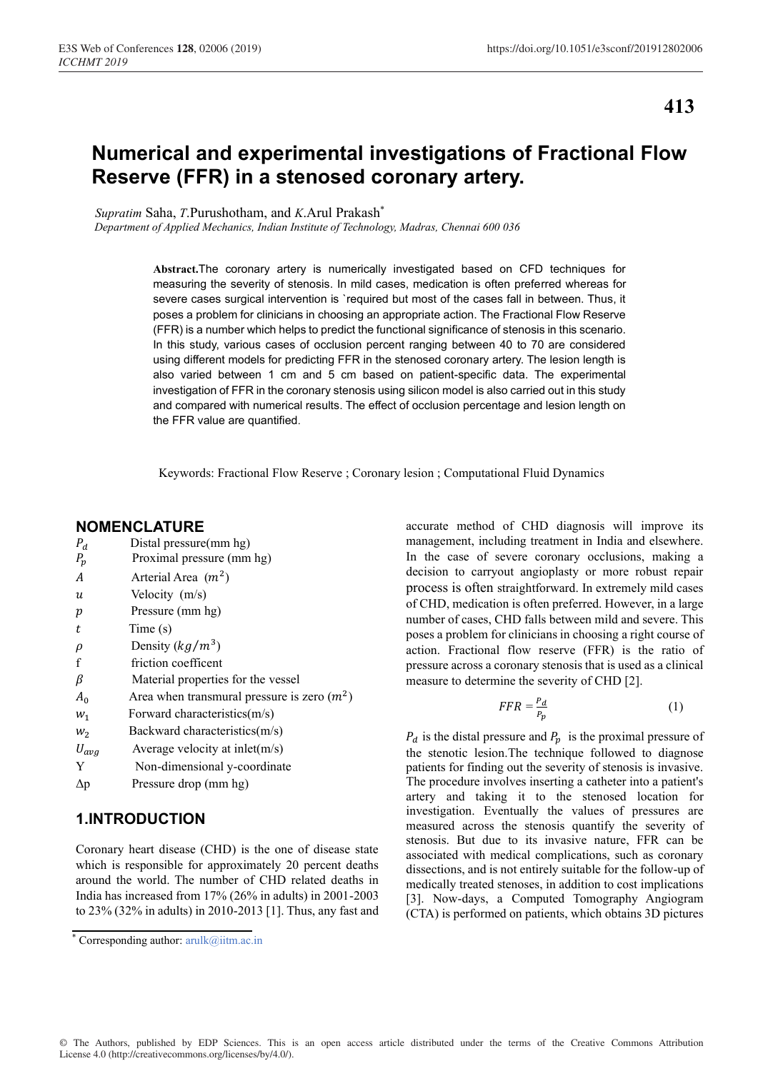**413**

# **Numerical and experimental investigations of Fractional Flow Reserve (FFR) in a stenosed coronary artery.**

*Supratim* Saha, *T*.Purushotham, and *K*.Arul Prakash\*

*Department of Applied Mechanics, Indian Institute of Technology, Madras, Chennai 600 036*

Abstract.The coronary artery is numerically investigated based on CFD techniques for measuring the severity of stenosis. In mild cases, medication is often preferred whereas for severe cases surgical intervention is 'required but most of the cases fall in between. Thus, it poses a problem for clinicians in choosing an appropriate action. The Fractional Flow Reserve (FFR) is a number which helps to predict the functional significance of stenosis in this scenario. In this study, various cases of occlusion percent ranging between 40 to 70 are considered using different models for predicting FFR in the stenosed coronary artery. The lesion length is also varied between 1 cm and 5 cm based on patient-specific data. The experimental investigation of FFR in the coronary stenosis using silicon model is also carried out in this study and compared with numerical results. The effect of occlusion percentage and lesion length on the FFR value are quantified.

Keywords: Fractional Flow Reserve ; Coronary lesion ; Computational Fluid Dynamics

## **NOMENCLATURE**

| $P_d$      | Distal pressure(mm hg)                       |
|------------|----------------------------------------------|
| $P_p$      | Proximal pressure (mm hg)                    |
| A          | Arterial Area $(m^2)$                        |
| и          | Velocity (m/s)                               |
| p          | Pressure (mm hg)                             |
| t          | Time(s)                                      |
| $\rho$     | Density $(kg/m^3)$                           |
| f          | friction coefficent                          |
| β          | Material properties for the vessel           |
| $A_0$      | Area when transmural pressure is zero $(m2)$ |
| $W_1$      | Forward characteristics(m/s)                 |
| $W_2$      | Backward characteristics(m/s)                |
| $U_{avg}$  | Average velocity at inlet(m/s)               |
| Y          | Non-dimensional y-coordinate                 |
| $\Delta p$ | Pressure drop (mm hg)                        |

## **1.INTRODUCTION**

Coronary heart disease (CHD) is the one of disease state which is responsible for approximately 20 percent deaths around the world. The number of CHD related deaths in India has increased from 17% (26% in adults) in 2001-2003 to 23% (32% in adults) in 2010-2013 [1]. Thus, any fast and

accurate method of CHD diagnosis will improve its management, including treatment in India and elsewhere. In the case of severe coronary occlusions, making a decision to carryout angioplasty or more robust repair process is often straightforward. In extremely mild cases of CHD, medication is often preferred. However, in a large number of cases, CHD falls between mild and severe. This poses a problem for clinicians in choosing a right course of action. Fractional flow reserve (FFR) is the ratio of pressure across a coronary stenosis that is used as a clinical measure to determine the severity of CHD [2].

$$
FFR = \frac{P_d}{P_p} \tag{1}
$$

 $P_d$  is the distal pressure and  $P_p$  is the proximal pressure of the stenotic lesion.The technique followed to diagnose patients for finding out the severity of stenosis is invasive. The procedure involves inserting a catheter into a patient's artery and taking it to the stenosed location for investigation. Eventually the values of pressures are measured across the stenosis quantify the severity of stenosis. But due to its invasive nature, FFR can be associated with medical complications, such as coronary dissections, and is not entirely suitable for the follow-up of medically treated stenoses, in addition to cost implications [3]. Now-days, a Computed Tomography Angiogram (CTA) is performed on patients, which obtains 3D pictures

<sup>\*</sup> Corresponding author: arulk@iitm.ac.in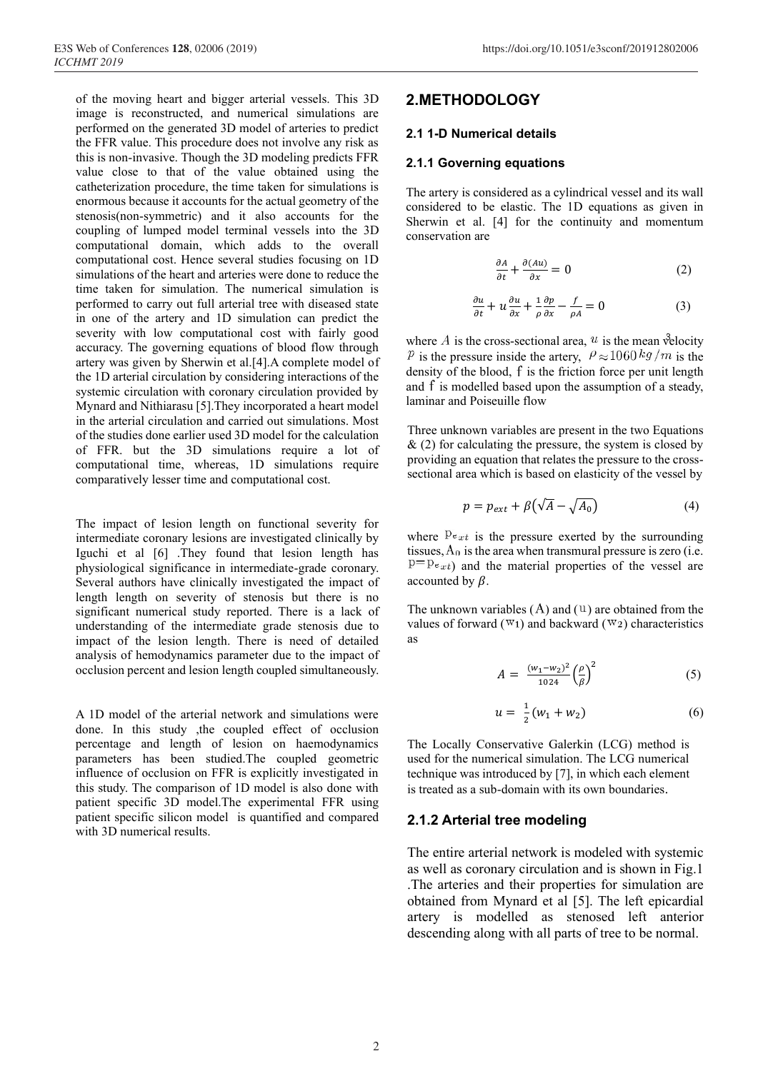of the moving heart and bigger arterial vessels. This 3D image is reconstructed, and numerical simulations are performed on the generated 3D model of arteries to predict the FFR value. This procedure does not involve any risk as this is non-invasive. Though the 3D modeling predicts FFR value close to that of the value obtained using the catheterization procedure, the time taken for simulations is enormous because it accounts for the actual geometry of the stenosis(non-symmetric) and it also accounts for the coupling of lumped model terminal vessels into the 3D computational domain, which adds to the overall computational cost. Hence several studies focusing on 1D simulations of the heart and arteries were done to reduce the time taken for simulation. The numerical simulation is performed to carry out full arterial tree with diseased state in one of the artery and 1D simulation can predict the severity with low computational cost with fairly good accuracy. The governing equations of blood flow through artery was given by Sherwin et al.[4].A complete model of the 1D arterial circulation by considering interactions of the systemic circulation with coronary circulation provided by Mynard and Nithiarasu [5].They incorporated a heart model in the arterial circulation and carried out simulations. Most of the studies done earlier used 3D model for the calculation of FFR. but the 3D simulations require a lot of computational time, whereas, 1D simulations require comparatively lesser time and computational cost.

The impact of lesion length on functional severity for intermediate coronary lesions are investigated clinically by Iguchi et al [6] .They found that lesion length has physiological significance in intermediate-grade coronary. Several authors have clinically investigated the impact of length length on severity of stenosis but there is no significant numerical study reported. There is a lack of understanding of the intermediate grade stenosis due to impact of the lesion length. There is need of detailed analysis of hemodynamics parameter due to the impact of occlusion percent and lesion length coupled simultaneously.

A 1D model of the arterial network and simulations were done. In this study ,the coupled effect of occlusion percentage and length of lesion on haemodynamics parameters has been studied.The coupled geometric influence of occlusion on FFR is explicitly investigated in this study. The comparison of 1D model is also done with patient specific 3D model.The experimental FFR using patient specific silicon model is quantified and compared with 3D numerical results.

## **2.METHODOLOGY**

#### **2.1 1-D Numerical details**

#### **2.1.1 Governing equations**

The artery is considered as a cylindrical vessel and its wall considered to be elastic. The 1D equations as given in Sherwin et al. [4] for the continuity and momentum conservation are

$$
\frac{\partial A}{\partial t} + \frac{\partial (Au)}{\partial x} = 0 \tag{2}
$$

$$
\frac{\partial u}{\partial t} + u \frac{\partial u}{\partial x} + \frac{1}{\rho} \frac{\partial p}{\partial x} - \frac{f}{\rho A} = 0 \tag{3}
$$

where A is the cross-sectional area,  $u$  is the mean velocity  $\frac{p}{i}$  is the pressure inside the artery,  $\rho \approx 1060 \frac{kg}{m}$  is the density of the blood,  $f$  is the friction force per unit length and f is modelled based upon the assumption of a steady, laminar and Poiseuille flow

Three unknown variables are present in the two Equations  $\&$  (2) for calculating the pressure, the system is closed by providing an equation that relates the pressure to the cross sectional area which is based on elasticity of the vessel by

$$
p = p_{ext} + \beta(\sqrt{A} - \sqrt{A_0})
$$
 (4)

where  $P_{ext}$  is the pressure exerted by the surrounding tissues,  $A_0$  is the area when transmural pressure is zero (i.e.  $p = p_{ext}$ ) and the material properties of the vessel are accounted by  $\beta$ .

The unknown variables  $(A)$  and  $(U)$  are obtained from the values of forward ( $\mathbb{W}_1$ ) and backward ( $\mathbb{W}_2$ ) characteristics as

$$
A = \frac{(w_1 - w_2)^2}{1024} \left(\frac{\rho}{\beta}\right)^2 \tag{5}
$$

$$
u = \frac{1}{2}(w_1 + w_2) \tag{6}
$$

The Locally Conservative Galerkin (LCG) method is used for the numerical simulation. The LCG numerical technique was introduced by [7], in which each element is treated as a sub-domain with its own boundaries.

#### **2.1.2 Arterial tree modeling**

The entire arterial network is modeled with systemic as well as coronary circulation and is shown in Fig.1 .The arteries and their properties for simulation are obtained from Mynard et al [5]. The left epicardial artery is modelled as stenosed left anterior descending along with all parts of tree to be normal.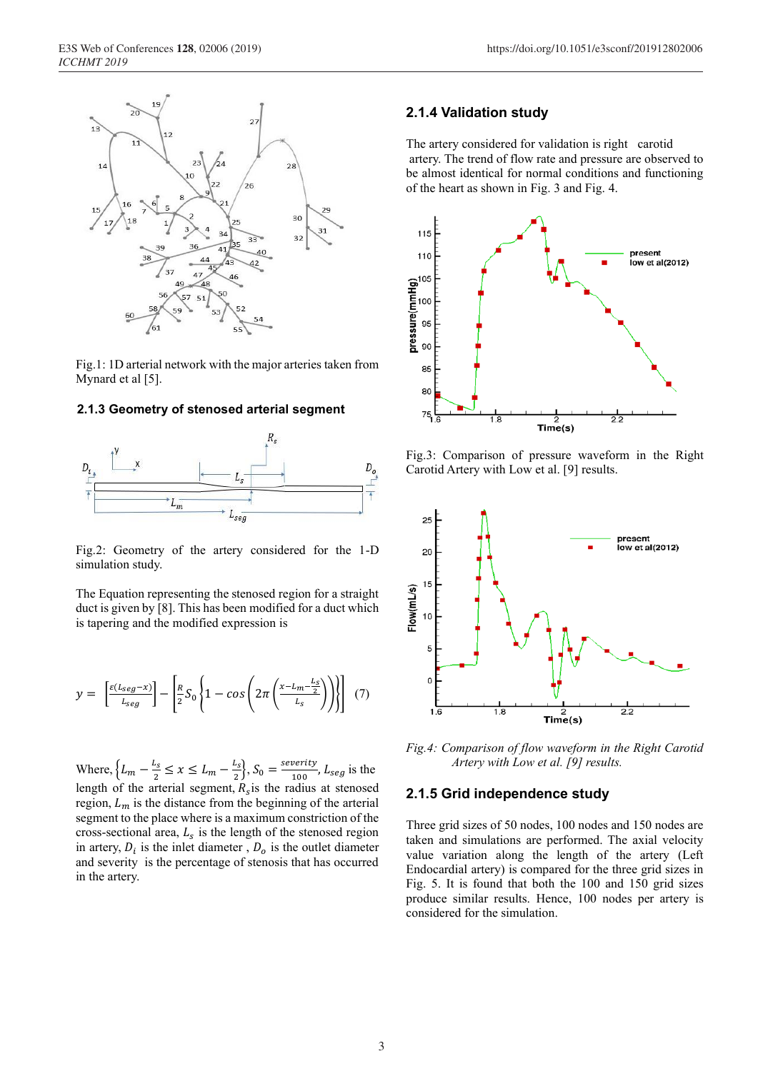

Fig.1: 1D arterial network with the major arteries taken from Mynard et al [5].

### **2.1.3 Geometry of stenosed arterial segment**



Fig.2: Geometry of the artery considered for the 1-D simulation study.

The Equation representing the stenosed region for a straight duct is given by [8]. This has been modified for a duct which is tapering and the modified expression is

$$
y = \left[\frac{\varepsilon(L_{seg}-x)}{L_{seg}}\right] - \left[\frac{R}{2}S_0\left\{1-\cos\left(2\pi\left(\frac{x-L_m-\frac{L_s}{2}}{L_s}\right)\right)\right\}\right] \tag{7}
$$

Where,  $\left\{L_m - \frac{L_s}{2} \le x \le L_m - \frac{L_s}{2}\right\}$ ,  $S_0 = \frac{\text{severity}}{100}$ ,  $L_{seg}$  is the length of the arterial segment,  $R_s$  is the radius at stenosed region,  $L_m$  is the distance from the beginning of the arterial segment to the place where is a maximum constriction of the cross-sectional area,  $L_s$  is the length of the stenosed region in artery,  $D_i$  is the inlet diameter,  $D_o$  is the outlet diameter and severity is the percentage of stenosis that has occurred in the artery.

#### **2.1.4 Validation study**

The artery considered for validation is right carotid artery. The trend of flow rate and pressure are observed to be almost identical for normal conditions and functioning of the heart as shown in Fig. 3 and Fig. 4.



Fig.3: Comparison of pressure waveform in the Right Carotid Artery with Low et al. [9] results.



*Fig.4: Comparison of flow waveform in the Right Carotid Artery with Low et al. [9] results.*

#### **2.1.5 Grid independence study**

Three grid sizes of 50 nodes, 100 nodes and 150 nodes are taken and simulations are performed. The axial velocity value variation along the length of the artery (Left Endocardial artery) is compared for the three grid sizes in Fig. 5. It is found that both the 100 and 150 grid sizes produce similar results. Hence, 100 nodes per artery is considered for the simulation.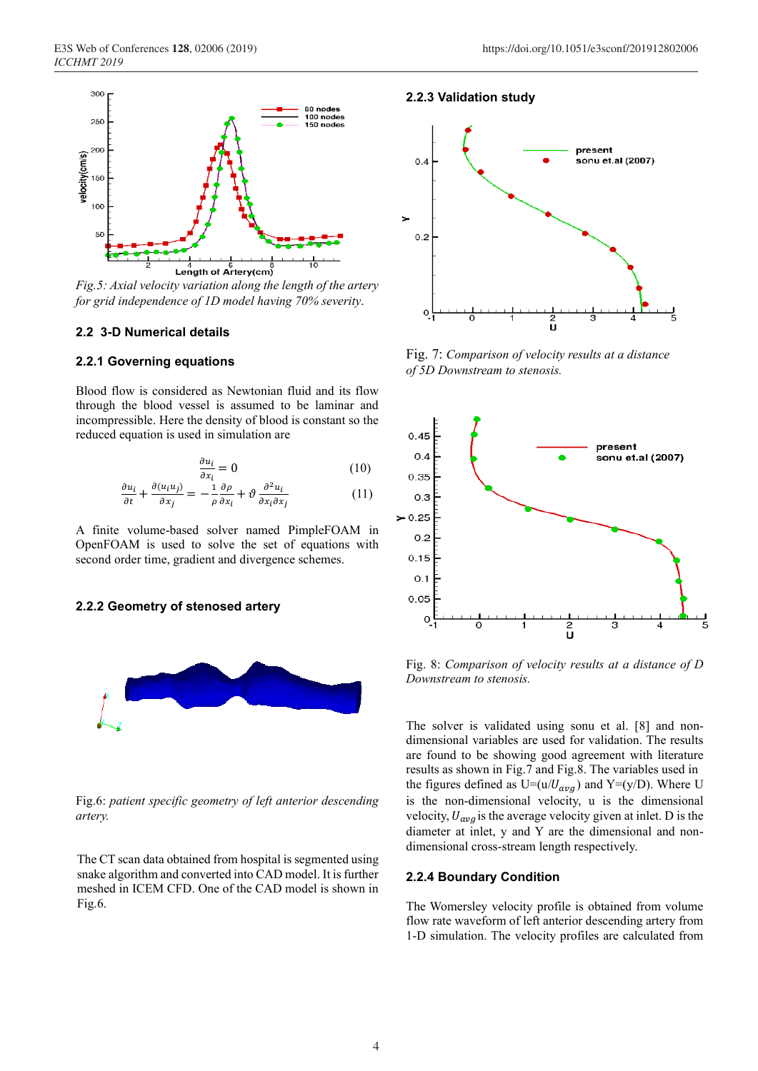

*Fig.5: Axial velocity variation along the length of the artery for grid independence of 1D model having 70% severity.*

#### **2.2 3-D Numerical details**

#### **2.2.1 Governing equations**

Blood flow is considered as Newtonian fluid and its flow through the blood vessel is assumed to be laminar and incompressible. Here the density of blood is constant so the reduced equation is used in simulation are

$$
\frac{\partial u_i}{\partial x_i} = 0 \tag{10}
$$

$$
\frac{\partial u_i}{\partial t} + \frac{\partial (u_i u_j)}{\partial x_j} = -\frac{1}{\rho} \frac{\partial \rho}{\partial x_i} + \vartheta \frac{\partial^2 u_i}{\partial x_i \partial x_j} \tag{11}
$$

A finite volume-based solver named PimpleFOAM in OpenFOAM is used to solve the set of equations with second order time, gradient and divergence schemes.

#### **2.2.2 Geometry of stenosed artery**



Fig.6: *patient specific geometry of left anterior descending artery.*

The CT scan data obtained from hospital is segmented using snake algorithm and converted into CAD model. It is further meshed in ICEM CFD. One of the CAD model is shown in Fig.6.

### **2.2.3 Validation study**



Fig. 7: *Comparison of velocity results at a distance of 5D Downstream to stenosis.*



Fig. 8: *Comparison of velocity results at a distance of D Downstream to stenosis.*

The solver is validated using sonu et al. [8] and non dimensional variables are used for validation. The results are found to be showing good agreement with literature results as shown in Fig.7 and Fig.8. The variables used in the figures defined as  $U=(u/U_{avg})$  and  $Y=(y/D)$ . Where U is the non-dimensional velocity, u is the dimensional velocity,  $U_{\alpha\nu\alpha}$  is the average velocity given at inlet. D is the diameter at inlet, y and Y are the dimensional and non dimensional cross-stream length respectively.

#### **2.2.4 Boundary Condition**

The Womersley velocity profile is obtained from volume flow rate waveform of left anterior descending artery from 1-D simulation. The velocity profiles are calculated from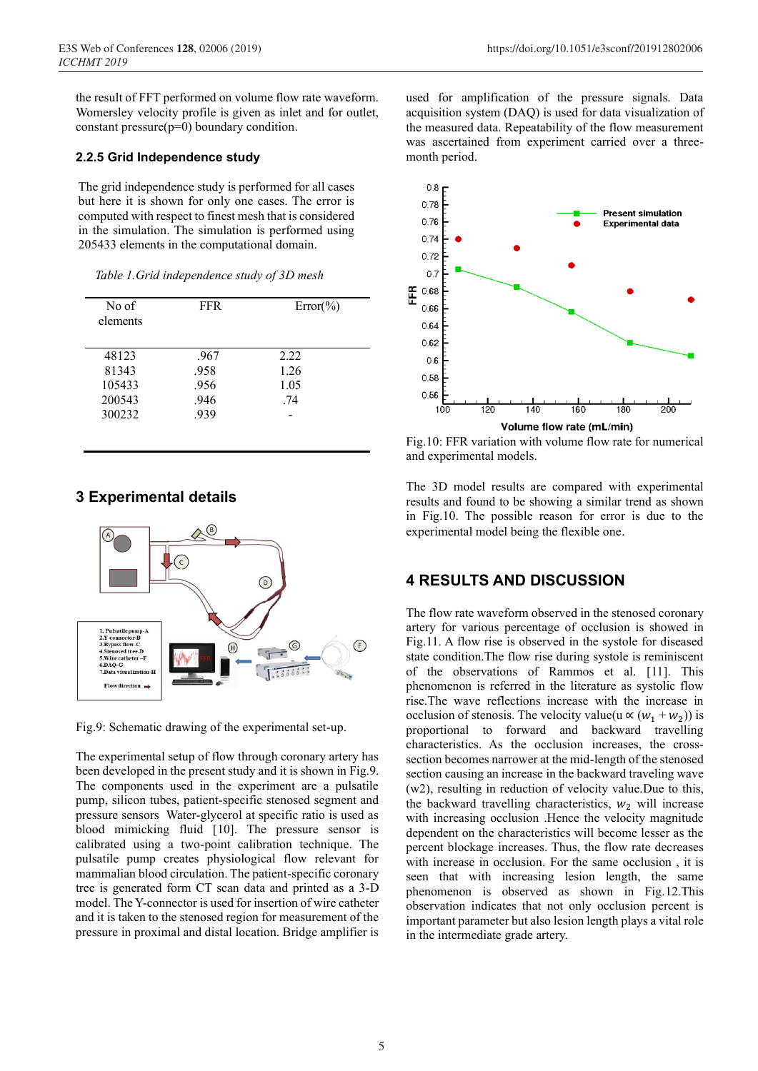the result of FFT performed on volume flow rate waveform. Womersley velocity profile is given as inlet and for outlet, constant pressure(p=0) boundary condition.

#### **2.2.5 Grid Independence study**

The grid independence study is performed for all cases but here it is shown for only one cases. The error is computed with respect to finest mesh that is considered in the simulation. The simulation is performed using 205433 elements in the computational domain.

| No of<br>elements | <b>FFR</b> | $Error(\% )$ |
|-------------------|------------|--------------|
| 48123             | .967       | 2.22         |
| 81343             | .958       | 1.26         |
| 105433            | .956       | 1.05         |
| 200543            | .946       | .74          |
| 300232            | .939       |              |

 *Table 1.Grid independence study of 3D mesh*

## **3 Experimental details**



Fig.9: Schematic drawing of the experimental set-up.

The experimental setup of flow through coronary artery has been developed in the present study and it is shown in Fig.9. The components used in the experiment are a pulsatile pump, silicon tubes, patient-specific stenosed segment and pressure sensors Water-glycerol at specific ratio is used as blood mimicking fluid [10]. The pressure sensor is calibrated using a two-point calibration technique. The pulsatile pump creates physiological flow relevant for mammalian blood circulation. The patient-specific coronary tree is generated form CT scan data and printed as a 3-D model. The Y-connector is used for insertion of wire catheter and it is taken to the stenosed region for measurement of the pressure in proximal and distal location. Bridge amplifier is

used for amplification of the pressure signals. Data acquisition system (DAQ) is used for data visualization of the measured data. Repeatability of the flow measurement was ascertained from experiment carried over a three month period.



Fig.10: FFR variation with volume flow rate for numerical and experimental models.

The 3D model results are compared with experimental results and found to be showing a similar trend as shown in Fig.10. The possible reason for error is due to the experimental model being the flexible one.

# **4 RESULTS AND DISCUSSION**

The flow rate waveform observed in the stenosed coronary artery for various percentage of occlusion is showed in Fig.11. A flow rise is observed in the systole for diseased state condition.The flow rise during systole is reminiscent of the observations of Rammos et al. [11]. This phenomenon is referred in the literature as systolic flow rise.The wave reflections increase with the increase in occlusion of stenosis. The velocity value(u  $\propto (w_1 + w_2)$ ) is proportional to forward and backward travelling characteristics. As the occlusion increases, the cross section becomes narrower at the mid-length of the stenosed section causing an increase in the backward traveling wave (w2), resulting in reduction of velocity value.Due to this, the backward travelling characteristics,  $w_2$  will increase with increasing occlusion .Hence the velocity magnitude dependent on the characteristics will become lesser as the percent blockage increases. Thus, the flow rate decreases with increase in occlusion. For the same occlusion , it is seen that with increasing lesion length, the same phenomenon is observed as shown in Fig.12.This observation indicates that not only occlusion percent is important parameter but also lesion length plays a vital role in the intermediate grade artery.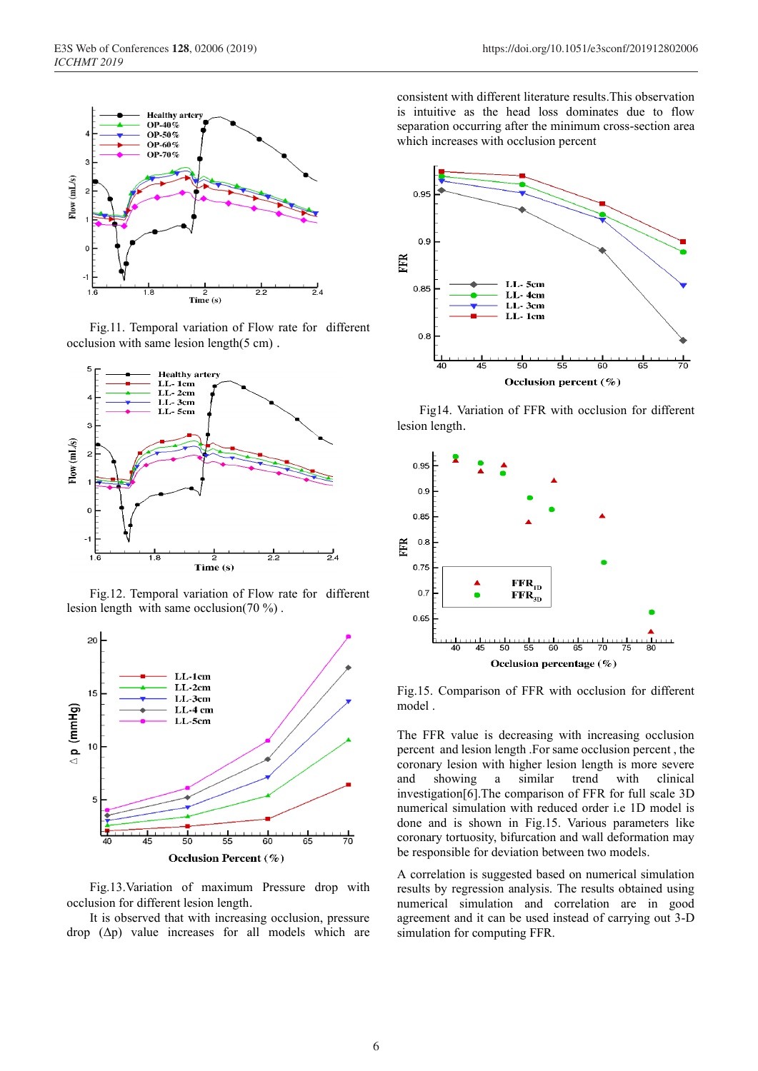

Fig.11. Temporal variation of Flow rate for different occlusion with same lesion length(5 cm) .



Fig.12. Temporal variation of Flow rate for different lesion length with same occlusion(70 %) .



Fig.13.Variation of maximum Pressure drop with occlusion for different lesion length.

It is observed that with increasing occlusion, pressure drop (Δp) value increases for all models which are consistent with different literature results.This observation is intuitive as the head loss dominates due to flow separation occurring after the minimum cross-section area which increases with occlusion percent



 Fig14. Variation of FFR with occlusion for different lesion length.



Fig.15. Comparison of FFR with occlusion for different model .

The FFR value is decreasing with increasing occlusion percent and lesion length .For same occlusion percent , the coronary lesion with higher lesion length is more severe and showing a similar trend with clinical investigation[6].The comparison of FFR for full scale 3D numerical simulation with reduced order i.e 1D model is done and is shown in Fig.15. Various parameters like coronary tortuosity, bifurcation and wall deformation may be responsible for deviation between two models.

A correlation is suggested based on numerical simulation results by regression analysis. The results obtained using numerical simulation and correlation are in good agreement and it can be used instead of carrying out 3-D simulation for computing FFR.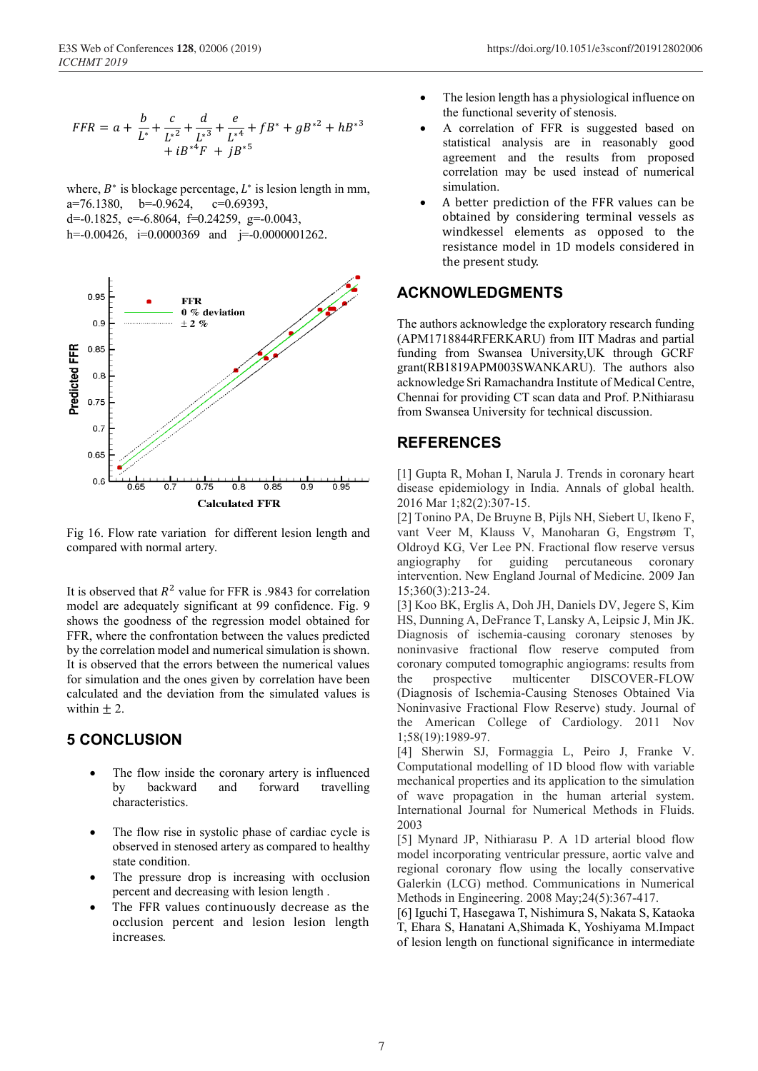$$
FFR = a + \frac{b}{L^*} + \frac{c}{L^{*2}} + \frac{d}{L^{*3}} + \frac{e}{L^{*4}} + fB^* + gB^{*2} + hB^{*3} + iB^{*4}F + jB^{*5}
$$

where,  $B^*$  is blockage percentage,  $L^*$  is lesion length in mm,<br>a=76.1380. b=-0.9624. c=0.69393.  $a=76.1380$ ,  $b=-0.9624$ ,  $d=0.1825$ ,  $e=6.8064$ ,  $f=0.24259$ ,  $g=0.0043$ , h=-0.00426, i=0.0000369 and i=-0.0000001262.



Fig 16. Flow rate variation for different lesion length and compared with normal artery.

It is observed that  $R^2$  value for FFR is .9843 for correlation model are adequately significant at 99 confidence. Fig. 9 shows the goodness of the regression model obtained for FFR, where the confrontation between the values predicted by the correlation model and numerical simulation is shown. It is observed that the errors between the numerical values for simulation and the ones given by correlation have been calculated and the deviation from the simulated values is within  $\pm 2$ .

## **5 CONCLUSION**

- The flow inside the coronary artery is influenced by backward and forward travelling characteristics.
- The flow rise in systolic phase of cardiac cycle is observed in stenosed artery as compared to healthy state condition.
- The pressure drop is increasing with occlusion percent and decreasing with lesion length .
- The FFR values continuously decrease as the occlusion percent and lesion lesion length increases.
- The lesion length has a physiological influence on the functional severity of stenosis.
- A correlation of FFR is suggested based on statistical analysis are in reasonably good agreement and the results from proposed correlation may be used instead of numerical simulation.
- A better prediction of the FFR values can be obtained by considering terminal vessels as windkessel elements as opposed to the resistance model in 1D models considered in the present study.

## **ACKNOWLEDGMENTS**

The authors acknowledge the exploratory research funding (APM1718844RFERKARU) from IIT Madras and partial funding from Swansea University,UK through GCRF grant(RB1819APM003SWANKARU). The authors also acknowledge Sri Ramachandra Institute of Medical Centre, Chennai for providing CT scan data and Prof. P.Nithiarasu from Swansea University for technical discussion.

# **REFERENCES**

[1] Gupta R, Mohan I, Narula J. Trends in coronary heart disease epidemiology in India. Annals of global health. 2016 Mar 1;82(2):307-15.

[2] Tonino PA, De Bruyne B, Pijls NH, Siebert U, Ikeno F, vant Veer M, Klauss V, Manoharan G, Engstrøm T, Oldroyd KG, Ver Lee PN. Fractional flow reserve versus angiography for guiding percutaneous coronary intervention. New England Journal of Medicine. 2009 Jan 15;360(3):213-24.

[3] Koo BK, Erglis A, Doh JH, Daniels DV, Jegere S, Kim HS, Dunning A, DeFrance T, Lansky A, Leipsic J, Min JK. Diagnosis of ischemia-causing coronary stenoses by noninvasive fractional flow reserve computed from coronary computed tomographic angiograms: results from the prospective multicenter DISCOVER-FLOW (Diagnosis of Ischemia-Causing Stenoses Obtained Via Noninvasive Fractional Flow Reserve) study. Journal of the American College of Cardiology. 2011 Nov 1;58(19):1989-97.

[4] Sherwin SJ, Formaggia L, Peiro J, Franke V. Computational modelling of 1D blood flow with variable mechanical properties and its application to the simulation of wave propagation in the human arterial system. International Journal for Numerical Methods in Fluids. 2003

[5] Mynard JP, Nithiarasu P. A 1D arterial blood flow model incorporating ventricular pressure, aortic valve and regional coronary flow using the locally conservative Galerkin (LCG) method. Communications in Numerical Methods in Engineering. 2008 May;24(5):367-417.

[6] Iguchi T, Hasegawa T, Nishimura S, Nakata S, Kataoka T, Ehara S, Hanatani A,Shimada K, Yoshiyama M.Impact of lesion length on functional significance in intermediate